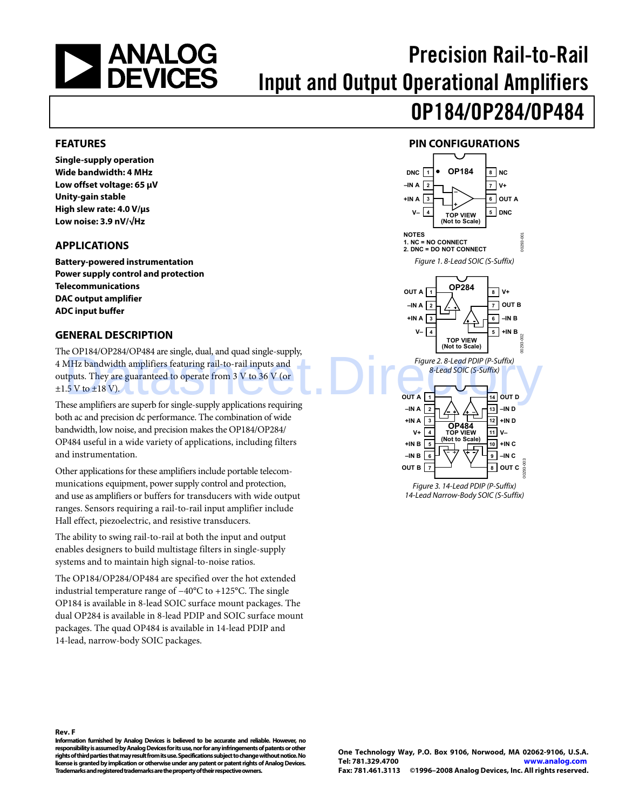<span id="page-0-0"></span>

# Precision Rail-to-Rail Input and Output Operational Amplifiers

# OP184/OP284/OP484

#### **FEATURES**

**Single-supply operation Wide bandwidth: 4 MHz Low offset voltage: 65 μV Unity-gain stable High slew rate: 4.0 V/μs Low noise: 3.9 nV/√Hz** 

#### **APPLICATIONS**

**Battery-powered instrumentation Power supply control and protection Telecommunications DAC output amplifier ADC input buffer** 

#### **GENERAL DESCRIPTION**

The OP184/OP284/OP484 are single, dual, and quad single-supply, 4 MHz bandwidth amplifiers featuring rail-to-rail inputs and outputs. They are guaranteed to operate from 3 V to 36 V (or  $\pm 1.5$  V to  $\pm 18$  V). Example 2.8-Lead PDIP (P-Suffix)<br>
MHz bandwidth amplifiers featuring rail-to-rail inputs and<br>
thuts. They are guaranteed to operate from 3 V to 36 V (or<br>  $5V$  to  $\pm 18$  V).

These amplifiers are superb for single-supply applications requiring both ac and precision dc performance. The combination of wide bandwidth, low noise, and precision makes the OP184/OP284/ OP484 useful in a wide variety of applications, including filters and instrumentation.

Other applications for these amplifiers include portable telecommunications equipment, power supply control and protection, and use as amplifiers or buffers for transducers with wide output ranges. Sensors requiring a rail-to-rail input amplifier include Hall effect, piezoelectric, and resistive transducers.

The ability to swing rail-to-rail at both the input and output enables designers to build multistage filters in single-supply systems and to maintain high signal-to-noise ratios.

The OP184/OP284/OP484 are specified over the hot extended industrial temperature range of −40°C to +125°C. The single OP184 is available in 8-lead SOIC surface mount packages. The dual OP284 is available in 8-lead PDIP and SOIC surface mount packages. The quad OP484 is available in 14-lead PDIP and 14-lead, narrow-body SOIC packages.





14-Lead Narrow-Body SOIC (S-Suffix)

#### **Rev. F**

**Information furnished by Analog Devices is believed to be accurate and reliable. However, no responsibility is assumed by Analog Devices for its use, nor for any infringements of patents or other rights of third parties that may result from its use. Specifications subject to change without notice. No license is granted by implication or otherwise under any patent or patent rights of Analog Devices. Trademarks and registered trademarks are the property of their respective owners.**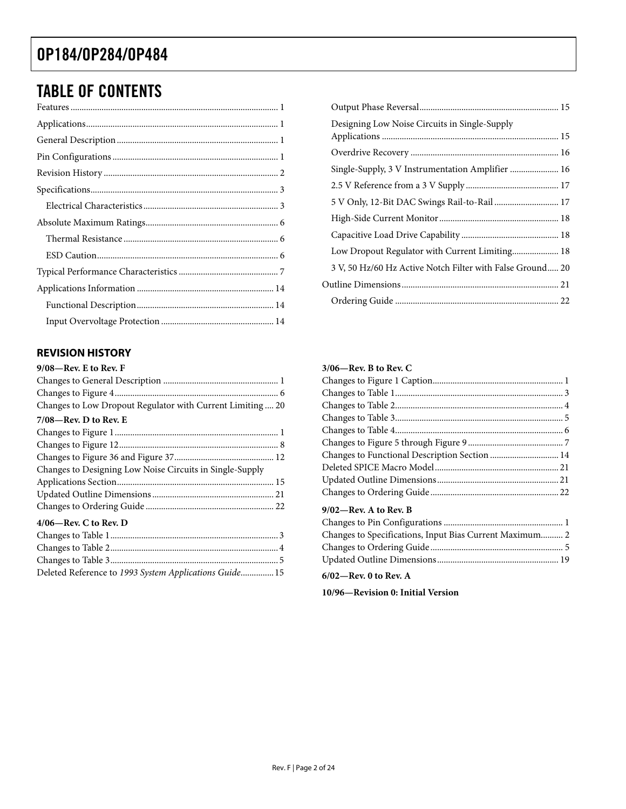### <span id="page-1-0"></span>TABLE OF CONTENTS

### **REVISION HISTORY**

| 9/08-Rev. E to Rev. F                                     |
|-----------------------------------------------------------|
|                                                           |
|                                                           |
| Changes to Low Dropout Regulator with Current Limiting 20 |
| $7/08$ —Rev. D to Rev. E                                  |
|                                                           |
|                                                           |
|                                                           |
| Changes to Designing Low Noise Circuits in Single-Supply  |
|                                                           |
|                                                           |
|                                                           |
| $4/06$ —Rev. C to Rev. D                                  |
|                                                           |
|                                                           |
|                                                           |

| Deleted Reference to 1993 System Applications Guide 15 |  |
|--------------------------------------------------------|--|

| Designing Low Noise Circuits in Single-Supply             |  |
|-----------------------------------------------------------|--|
|                                                           |  |
| Single-Supply, 3 V Instrumentation Amplifier  16          |  |
|                                                           |  |
| 5 V Only, 12-Bit DAC Swings Rail-to-Rail  17              |  |
|                                                           |  |
|                                                           |  |
| Low Dropout Regulator with Current Limiting 18            |  |
| 3 V, 50 Hz/60 Hz Active Notch Filter with False Ground 20 |  |
|                                                           |  |
|                                                           |  |
|                                                           |  |

#### **3/06—Rev. B to Rev. C**

| $9/02$ —Rev. A to Rev. B |  |
|--------------------------|--|

| Changes to Specifications, Input Bias Current Maximum 2 |  |
|---------------------------------------------------------|--|
|                                                         |  |
|                                                         |  |

**6/02—Rev. 0 to Rev. A** 

**10/96—Revision 0: Initial Version**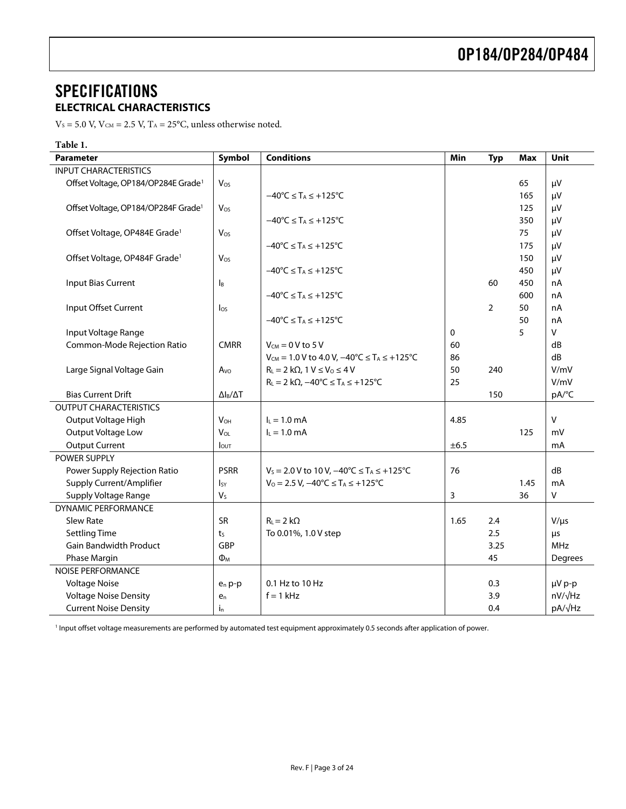### <span id="page-2-0"></span>**SPECIFICATIONS ELECTRICAL CHARACTERISTICS**

 $V_s$  = 5.0 V,  $V_{CM}$  = 2.5 V,  $T_A$  = 25°C, unless otherwise noted.

<span id="page-2-2"></span>

| <b>Conditions</b><br>Symbol<br>Unit<br><b>Parameter</b><br>Min<br><b>Typ</b><br><b>Max</b><br><b>INPUT CHARACTERISTICS</b><br>Offset Voltage, OP184/OP284E Grade <sup>1</sup><br>65<br>μV<br>Vos<br>$-40^{\circ}$ C $\leq$ T <sub>A</sub> $\leq$ +125 $^{\circ}$ C<br>165<br>μV<br>Offset Voltage, OP184/OP284F Grade <sup>1</sup><br>125<br>μV<br>Vos<br>$-40^{\circ}C \leq T_A \leq +125^{\circ}C$<br>350<br>μV<br>Offset Voltage, OP484E Grade <sup>1</sup><br>75<br>Vos<br>μV<br>$-40^{\circ}C \leq T_A \leq +125^{\circ}C$<br>175<br>μV |
|----------------------------------------------------------------------------------------------------------------------------------------------------------------------------------------------------------------------------------------------------------------------------------------------------------------------------------------------------------------------------------------------------------------------------------------------------------------------------------------------------------------------------------------------|
|                                                                                                                                                                                                                                                                                                                                                                                                                                                                                                                                              |
|                                                                                                                                                                                                                                                                                                                                                                                                                                                                                                                                              |
|                                                                                                                                                                                                                                                                                                                                                                                                                                                                                                                                              |
|                                                                                                                                                                                                                                                                                                                                                                                                                                                                                                                                              |
|                                                                                                                                                                                                                                                                                                                                                                                                                                                                                                                                              |
|                                                                                                                                                                                                                                                                                                                                                                                                                                                                                                                                              |
|                                                                                                                                                                                                                                                                                                                                                                                                                                                                                                                                              |
|                                                                                                                                                                                                                                                                                                                                                                                                                                                                                                                                              |
| Offset Voltage, OP484F Grade <sup>1</sup><br>Vos<br>150<br>μV                                                                                                                                                                                                                                                                                                                                                                                                                                                                                |
| $-40^{\circ}$ C $\leq$ T <sub>A</sub> $\leq$ +125 $^{\circ}$ C<br>450<br>μV                                                                                                                                                                                                                                                                                                                                                                                                                                                                  |
| <b>Input Bias Current</b><br>450<br>60<br>nA<br>l <sub>B</sub>                                                                                                                                                                                                                                                                                                                                                                                                                                                                               |
| $-40^{\circ}$ C $\leq$ T <sub>A</sub> $\leq$ +125 $^{\circ}$ C<br>600<br>nA                                                                                                                                                                                                                                                                                                                                                                                                                                                                  |
| Input Offset Current<br>$\overline{2}$<br>50<br>nA<br>$\log$                                                                                                                                                                                                                                                                                                                                                                                                                                                                                 |
| 50<br>$-40^{\circ}$ C $\leq$ T <sub>A</sub> $\leq$ +125 $^{\circ}$ C<br>nA                                                                                                                                                                                                                                                                                                                                                                                                                                                                   |
| 5<br>$\mathsf{V}$<br>$\mathbf 0$<br>Input Voltage Range                                                                                                                                                                                                                                                                                                                                                                                                                                                                                      |
| Common-Mode Rejection Ratio<br><b>CMRR</b><br>$V_{CM} = 0 V$ to 5 V<br>60<br>dB                                                                                                                                                                                                                                                                                                                                                                                                                                                              |
| dB<br>$V_{CM} = 1.0 V$ to 4.0 V, $-40^{\circ}C \le T_A \le +125^{\circ}C$<br>86                                                                                                                                                                                                                                                                                                                                                                                                                                                              |
| 50<br>V/mV<br>Large Signal Voltage Gain<br>$R_L = 2 k\Omega$ , 1 $V \leq V_0 \leq 4 V$<br>240<br>Avo                                                                                                                                                                                                                                                                                                                                                                                                                                         |
| 25<br>V/mV<br>$R_L = 2 k\Omega$ , $-40^{\circ}C \leq T_A \leq +125^{\circ}C$                                                                                                                                                                                                                                                                                                                                                                                                                                                                 |
| <b>Bias Current Drift</b><br>150<br>pA/°C<br>$\Delta$ l <sub>B</sub> / $\Delta$ T                                                                                                                                                                                                                                                                                                                                                                                                                                                            |
| <b>OUTPUT CHARACTERISTICS</b>                                                                                                                                                                                                                                                                                                                                                                                                                                                                                                                |
| $\vee$<br>Output Voltage High<br>$I_L = 1.0$ mA<br>4.85<br><b>V<sub>OH</sub></b>                                                                                                                                                                                                                                                                                                                                                                                                                                                             |
| Output Voltage Low<br>VOL<br>$I_L = 1.0$ mA<br>125<br>mV                                                                                                                                                                                                                                                                                                                                                                                                                                                                                     |
| ±6.5<br><b>Output Current</b><br>mA<br>lout                                                                                                                                                                                                                                                                                                                                                                                                                                                                                                  |
| POWER SUPPLY                                                                                                                                                                                                                                                                                                                                                                                                                                                                                                                                 |
| <b>PSRR</b><br>dB<br>76<br>Power Supply Rejection Ratio<br>$V_s = 2.0 V$ to 10 V, $-40^{\circ}C \le T_A \le +125^{\circ}C$                                                                                                                                                                                                                                                                                                                                                                                                                   |
| Supply Current/Amplifier<br>$V_0 = 2.5 V$ , $-40^{\circ}C \leq T_A \leq +125^{\circ}C$<br>1.45<br>mA<br>Isy                                                                                                                                                                                                                                                                                                                                                                                                                                  |
| Supply Voltage Range<br>$\sf V$<br>V <sub>S</sub><br>3<br>36                                                                                                                                                                                                                                                                                                                                                                                                                                                                                 |
| <b>DYNAMIC PERFORMANCE</b>                                                                                                                                                                                                                                                                                                                                                                                                                                                                                                                   |
| Slew Rate<br><b>SR</b><br>$R_{L} = 2 k\Omega$<br>1.65<br>$V/\mu s$<br>2.4                                                                                                                                                                                                                                                                                                                                                                                                                                                                    |
| 2.5<br><b>Settling Time</b><br>To 0.01%, 1.0 V step<br>t <sub>S</sub><br>μs                                                                                                                                                                                                                                                                                                                                                                                                                                                                  |
| <b>Gain Bandwidth Product</b><br>GBP<br>3.25<br><b>MHz</b>                                                                                                                                                                                                                                                                                                                                                                                                                                                                                   |
| Phase Margin<br>45<br>$\Phi_{\text{M}}$<br>Degrees                                                                                                                                                                                                                                                                                                                                                                                                                                                                                           |
| <b>NOISE PERFORMANCE</b>                                                                                                                                                                                                                                                                                                                                                                                                                                                                                                                     |
| <b>Voltage Noise</b><br>µV p-p<br>0.1 Hz to 10 Hz<br>0.3<br>$e_n$ p-p                                                                                                                                                                                                                                                                                                                                                                                                                                                                        |
| $nV/\sqrt{Hz}$<br><b>Voltage Noise Density</b><br>$f = 1$ kHz<br>3.9<br>e <sub>n</sub>                                                                                                                                                                                                                                                                                                                                                                                                                                                       |
| pA/√Hz<br><b>Current Noise Density</b><br>0.4<br>$i_{n}$                                                                                                                                                                                                                                                                                                                                                                                                                                                                                     |

<span id="page-2-1"></span><sup>1</sup> Input offset voltage measurements are performed by automated test equipment approximately 0.5 seconds after application of power.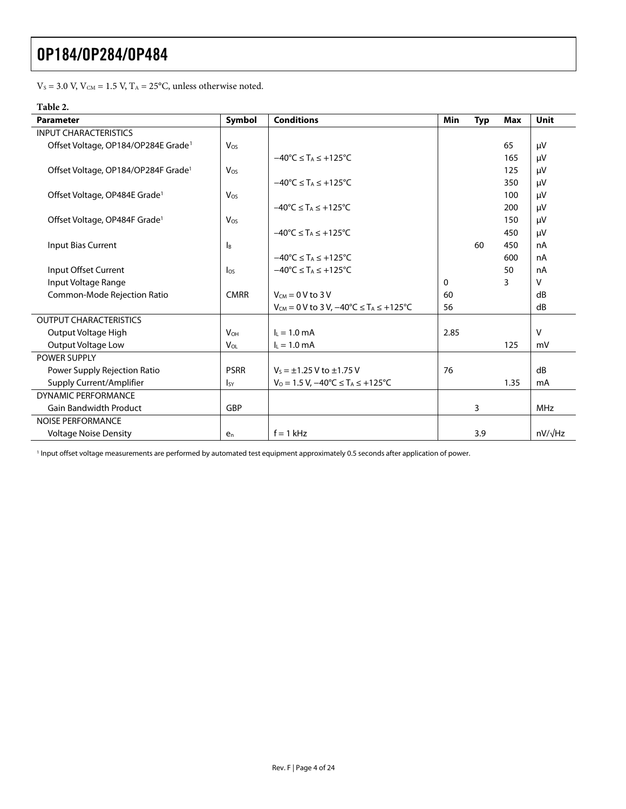$\rm V_S$  = 3.0 V,  $\rm V_{\rm CM}$  = 1.5 V,  $\rm T_A$  = 25°C, unless otherwise noted.

#### **Table 2.**

<span id="page-3-1"></span>

| <b>Parameter</b>                                | Symbol                | <b>Conditions</b>                                               | Min      | <b>Typ</b> | <b>Max</b> | Unit           |
|-------------------------------------------------|-----------------------|-----------------------------------------------------------------|----------|------------|------------|----------------|
| <b>INPUT CHARACTERISTICS</b>                    |                       |                                                                 |          |            |            |                |
| Offset Voltage, OP184/OP284E Grade <sup>1</sup> | Vos                   |                                                                 |          |            | 65         | μV             |
|                                                 |                       | $-40^{\circ}$ C $\leq$ T <sub>A</sub> $\leq$ +125°C             |          |            | 165        | μV             |
| Offset Voltage, OP184/OP284F Grade <sup>1</sup> | Vos                   |                                                                 |          |            | 125        | μV             |
|                                                 |                       | $-40^{\circ}$ C $\leq$ T <sub>A</sub> $\leq$ +125°C             |          |            | 350        | μV             |
| Offset Voltage, OP484E Grade <sup>1</sup>       | $V_{OS}$              |                                                                 |          |            | 100        | μV             |
|                                                 |                       | $-40^{\circ}$ C $\leq$ T <sub>A</sub> $\leq$ +125 $^{\circ}$ C  |          |            | 200        | μV             |
| Offset Voltage, OP484F Grade <sup>1</sup>       | Vos                   |                                                                 |          |            | 150        | μV             |
|                                                 |                       | $-40^{\circ}$ C $\leq$ T <sub>A</sub> $\leq$ +125 $^{\circ}$ C  |          |            | 450        | μV             |
| Input Bias Current                              | <b>I</b> B            |                                                                 |          | 60         | 450        | nA             |
|                                                 |                       | $-40^{\circ}$ C $\leq$ T <sub>A</sub> $\leq$ +125°C             |          |            | 600        | nA             |
| Input Offset Current                            | $\log$                | $-40^{\circ}$ C $\leq$ T <sub>A</sub> $\leq$ +125 $^{\circ}$ C  |          |            | 50         | nA             |
| Input Voltage Range                             |                       |                                                                 | $\Omega$ |            | 3          | v              |
| Common-Mode Rejection Ratio                     | <b>CMRR</b>           | $V_{CM} = 0 V$ to 3 V                                           | 60       |            |            | dB             |
|                                                 |                       | $V_{CM} = 0$ V to 3 V, $-40^{\circ}C \le T_A \le +125^{\circ}C$ | 56       |            |            | dB             |
| <b>OUTPUT CHARACTERISTICS</b>                   |                       |                                                                 |          |            |            |                |
| Output Voltage High                             | <b>V<sub>OH</sub></b> | $I_L = 1.0$ mA                                                  | 2.85     |            |            | $\vee$         |
| Output Voltage Low                              | V <sub>OL</sub>       | $I_L = 1.0$ mA                                                  |          |            | 125        | mV             |
| <b>POWER SUPPLY</b>                             |                       |                                                                 |          |            |            |                |
| Power Supply Rejection Ratio                    | <b>PSRR</b>           | $V_s = \pm 1.25$ V to $\pm 1.75$ V                              | 76       |            |            | dB             |
| Supply Current/Amplifier                        | <sub>Isy</sub>        | $V_0 = 1.5 V$ , $-40^{\circ}C \leq T_A \leq +125^{\circ}C$      |          |            | 1.35       | mA             |
| DYNAMIC PERFORMANCE                             |                       |                                                                 |          |            |            |                |
| <b>Gain Bandwidth Product</b>                   | GBP                   |                                                                 |          | 3          |            | MHz            |
| <b>NOISE PERFORMANCE</b>                        |                       |                                                                 |          |            |            |                |
| <b>Voltage Noise Density</b>                    | $e_n$                 | $f = 1$ kHz                                                     |          | 3.9        |            | $nV/\sqrt{Hz}$ |

<span id="page-3-0"></span><sup>1</sup> Input offset voltage measurements are performed by automated test equipment approximately 0.5 seconds after application of power.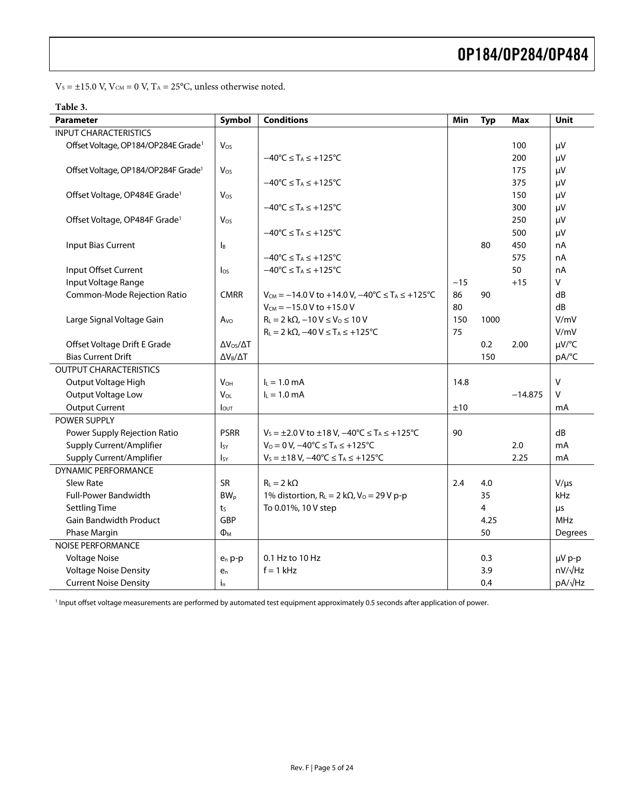$\rm V_S$  =  $\pm 15.0$  V,  $\rm V_{\rm CM}$  = 0 V,  $\rm T_A$  = 25°C, unless otherwise noted.

<span id="page-4-0"></span>

| <b>Parameter</b>                                | Symbol                   | <b>Conditions</b>                                                             | Min   | <b>Typ</b>     | Max       | Unit           |
|-------------------------------------------------|--------------------------|-------------------------------------------------------------------------------|-------|----------------|-----------|----------------|
| <b>INPUT CHARACTERISTICS</b>                    |                          |                                                                               |       |                |           |                |
| Offset Voltage, OP184/OP284E Grade <sup>1</sup> | Vos                      |                                                                               |       |                | 100       | μV             |
|                                                 |                          | $-40^{\circ}$ C $\leq$ T <sub>A</sub> $\leq$ +125 $^{\circ}$ C                |       |                | 200       | μV             |
| Offset Voltage, OP184/OP284F Grade <sup>1</sup> | Vos                      |                                                                               |       |                | 175       | μV             |
|                                                 |                          | $-40^{\circ}C \leq T_A \leq +125^{\circ}C$                                    |       |                | 375       | μV             |
| Offset Voltage, OP484E Grade <sup>1</sup>       | Vos                      |                                                                               |       |                | 150       | μV             |
|                                                 |                          | $-40^{\circ}$ C $\leq$ T <sub>A</sub> $\leq$ +125 $^{\circ}$ C                |       |                | 300       | μV             |
| Offset Voltage, OP484F Grade <sup>1</sup>       | Vos                      |                                                                               |       |                | 250       | μV             |
|                                                 |                          | $-40^{\circ}C \leq T_A \leq +125^{\circ}C$                                    |       |                | 500       | μV             |
| <b>Input Bias Current</b>                       | l <sub>B</sub>           |                                                                               |       | 80             | 450       | nA             |
|                                                 |                          | $-40^{\circ}C \leq T_A \leq +125^{\circ}C$                                    |       |                | 575       | nA             |
| Input Offset Current                            | $\log$                   | $-40^{\circ}$ C $\leq$ T <sub>A</sub> $\leq$ +125 $^{\circ}$ C                |       |                | 50        | nA             |
| Input Voltage Range                             |                          |                                                                               | $-15$ |                | $+15$     | V              |
| Common-Mode Rejection Ratio                     | <b>CMRR</b>              | $V_{CM} = -14.0 V$ to +14.0 V, $-40^{\circ}C \le T_A \le +125^{\circ}C$       | 86    | 90             |           | dB             |
|                                                 |                          | $V_{CM} = -15.0 V to +15.0 V$                                                 | 80    |                |           | dB             |
| Large Signal Voltage Gain                       | Avo                      | $R_L = 2 k\Omega$ , $-10 V \le V_0 \le 10 V$                                  | 150   | 1000           |           | V/mV           |
|                                                 |                          | $R_L = 2 k\Omega$ , $-40 V \leq T_A \leq +125°C$                              | 75    |                |           | V/mV           |
| Offset Voltage Drift E Grade                    | $\Delta V_{OS}/\Delta T$ |                                                                               |       | 0.2            | 2.00      | µV/°C          |
| <b>Bias Current Drift</b>                       | $\Delta V_B/\Delta T$    |                                                                               |       | 150            |           | pA/°C          |
| <b>OUTPUT CHARACTERISTICS</b>                   |                          |                                                                               |       |                |           |                |
| Output Voltage High                             | $V_{OH}$                 | $I_L = 1.0$ mA                                                                | 14.8  |                |           | $\mathsf{V}$   |
| Output Voltage Low                              | $V_{OL}$                 | $L = 1.0$ mA                                                                  |       |                | $-14.875$ | v              |
| <b>Output Current</b>                           | $I_{\text{OUT}}$         |                                                                               | ±10   |                |           | mA             |
| <b>POWER SUPPLY</b>                             |                          |                                                                               |       |                |           |                |
| Power Supply Rejection Ratio                    | <b>PSRR</b>              | $V_s = \pm 2.0$ V to $\pm 18$ V, $-40^{\circ}$ C $\le T_A \le +125^{\circ}$ C | 90    |                |           | dB             |
| Supply Current/Amplifier                        | $I_{SV}$                 | $V_0 = 0 V$ , $-40^{\circ}C \le T_A \le +125^{\circ}C$                        |       |                | 2.0       | mA             |
| Supply Current/Amplifier                        | Isy                      | $V_s = \pm 18 V$ , $-40^{\circ}C \leq T_A \leq +125^{\circ}C$                 |       |                | 2.25      | mA             |
| <b>DYNAMIC PERFORMANCE</b>                      |                          |                                                                               |       |                |           |                |
| Slew Rate                                       | SR                       | $R_L = 2 k\Omega$                                                             | 2.4   | 4.0            |           | $V/\mu s$      |
| <b>Full-Power Bandwidth</b>                     | $BW_p$                   | 1% distortion, $R_L = 2 k\Omega$ , $V_0 = 29 V p-p$                           |       | 35             |           | <b>kHz</b>     |
| <b>Settling Time</b>                            | t <sub>S</sub>           | To 0.01%, 10 V step                                                           |       | $\overline{4}$ |           | μs             |
| <b>Gain Bandwidth Product</b>                   | <b>GBP</b>               |                                                                               |       | 4.25           |           | MHz            |
| Phase Margin                                    | $\Phi_{M}$               |                                                                               |       | 50             |           | Degrees        |
| <b>NOISE PERFORMANCE</b>                        |                          |                                                                               |       |                |           |                |
| <b>Voltage Noise</b>                            | $e_n p-p$                | 0.1 Hz to 10 Hz                                                               |       | 0.3            |           | $\mu V$ p-p    |
| <b>Voltage Noise Density</b>                    | e <sub>n</sub>           | $f = 1$ kHz                                                                   |       | 3.9            |           | $nV/\sqrt{Hz}$ |
| <b>Current Noise Density</b>                    | İn                       |                                                                               |       | 0.4            |           | $pA/\sqrt{Hz}$ |

<sup>1</sup> Input offset voltage measurements are performed by automated test equipment approximately 0.5 seconds after application of power.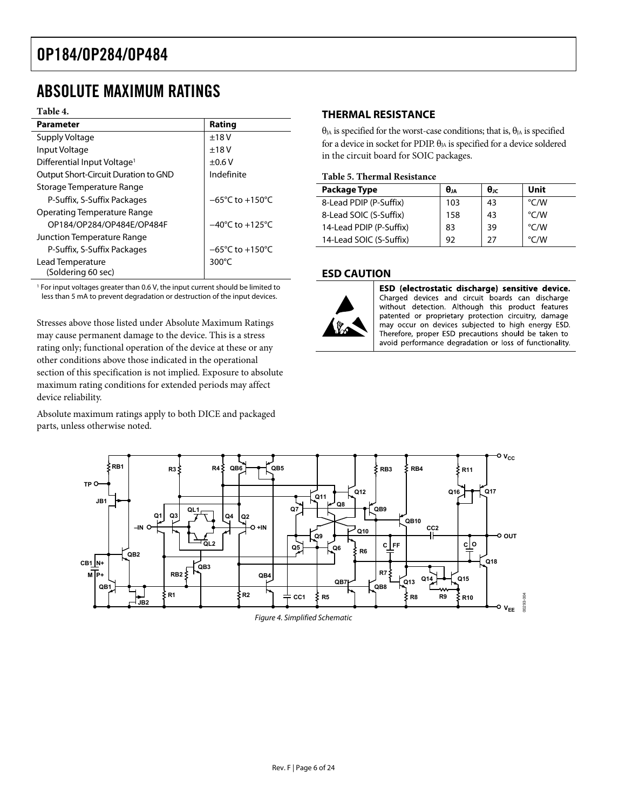### <span id="page-5-0"></span>ABSOLUTE MAXIMUM RATINGS

#### **Table 4.**

| <b>Parameter</b>                        | Rating                              |
|-----------------------------------------|-------------------------------------|
| Supply Voltage                          | $+18V$                              |
| Input Voltage                           | $+18V$                              |
| Differential Input Voltage <sup>1</sup> | $\pm 0.6$ V                         |
| Output Short-Circuit Duration to GND    | Indefinite                          |
| Storage Temperature Range               |                                     |
| P-Suffix, S-Suffix Packages             | $-65^{\circ}$ C to $+150^{\circ}$ C |
| Operating Temperature Range             |                                     |
| OP184/OP284/OP484E/OP484F               | $-40^{\circ}$ C to $+125^{\circ}$ C |
| Junction Temperature Range              |                                     |
| P-Suffix, S-Suffix Packages             | $-65^{\circ}$ C to $+150^{\circ}$ C |
| Lead Temperature                        | 300 $\degree$ C                     |
| (Soldering 60 sec)                      |                                     |

<sup>1</sup> For input voltages greater than 0.6 V, the input current should be limited to less than 5 mA to prevent degradation or destruction of the input devices.

Stresses above those listed under Absolute Maximum Ratings may cause permanent damage to the device. This is a stress rating only; functional operation of the device at these or any other conditions above those indicated in the operational section of this specification is not implied. Exposure to absolute maximum rating conditions for extended periods may affect device reliability.

Absolute maximum ratings apply to both DICE and packaged parts, unless otherwise noted.

### **THERMAL RESISTANCE**

 $θ<sub>JA</sub>$  is specified for the worst-case conditions; that is,  $θ<sub>JA</sub>$  is specified for a device in socket for PDIP.  $\theta_{JA}$  is specified for a device soldered in the circuit board for SOIC packages.

#### **Table 5. Thermal Resistance**

| Package Type            | $\theta$ ia | $\theta$ JC | Unit          |
|-------------------------|-------------|-------------|---------------|
| 8-Lead PDIP (P-Suffix)  | 103         | 43          | °C/W          |
| 8-Lead SOIC (S-Suffix)  | 158         | 43          | °C/W          |
| 14-Lead PDIP (P-Suffix) | 83          | 39          | °C/W          |
| 14-Lead SOIC (S-Suffix) | 92          | 27          | $\degree$ C/W |

#### **ESD CAUTION**



ESD (electrostatic discharge) sensitive device. Charged devices and circuit boards can discharge without detection. Although this product features patented or proprietary protection circuitry, damage may occur on devices subjected to high energy ESD. Therefore, proper ESD precautions should be taken to avoid performance degradation or loss of functionality.

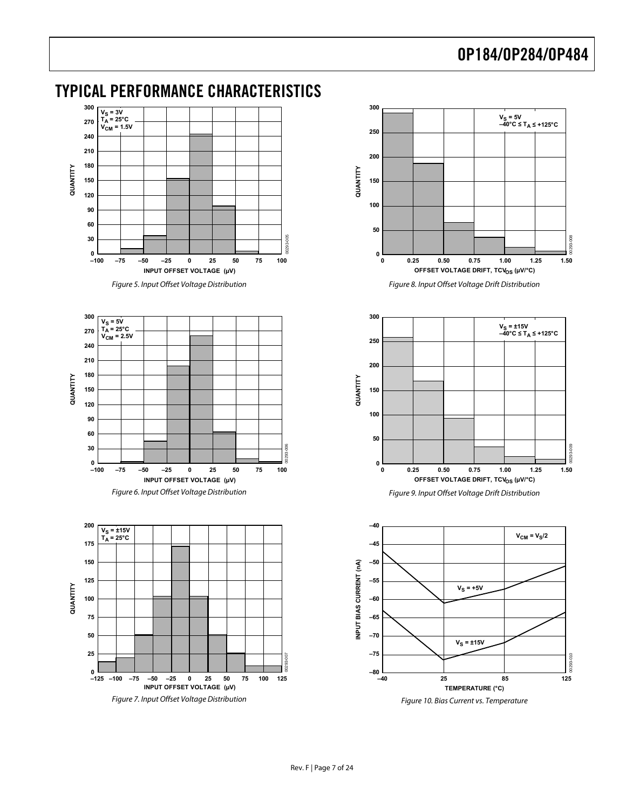### <span id="page-6-0"></span>TYPICAL PERFORMANCE CHARACTERISTICS



Figure 5. Input Offset Voltage Distribution



<span id="page-6-1"></span>









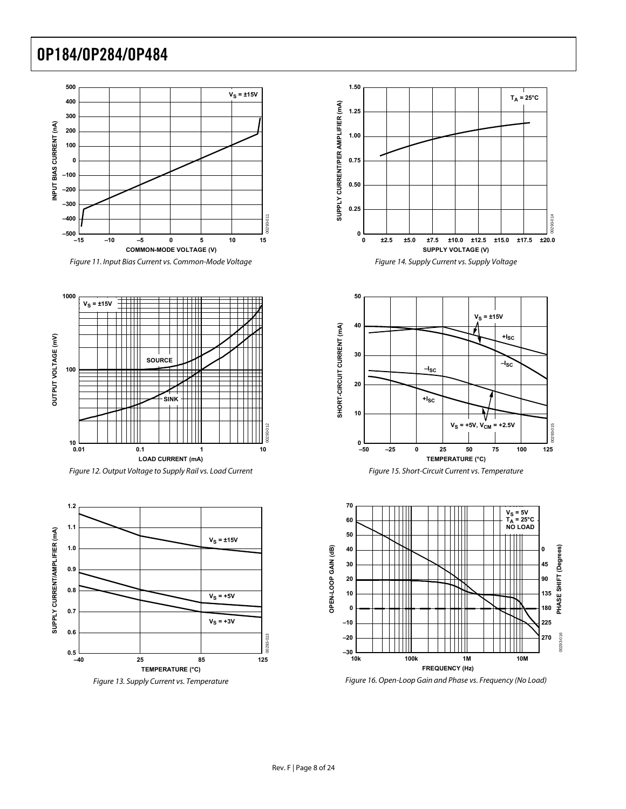







Figure 13. Supply Current vs. Temperature









Figure 16. Open-Loop Gain and Phase vs. Frequency (No Load)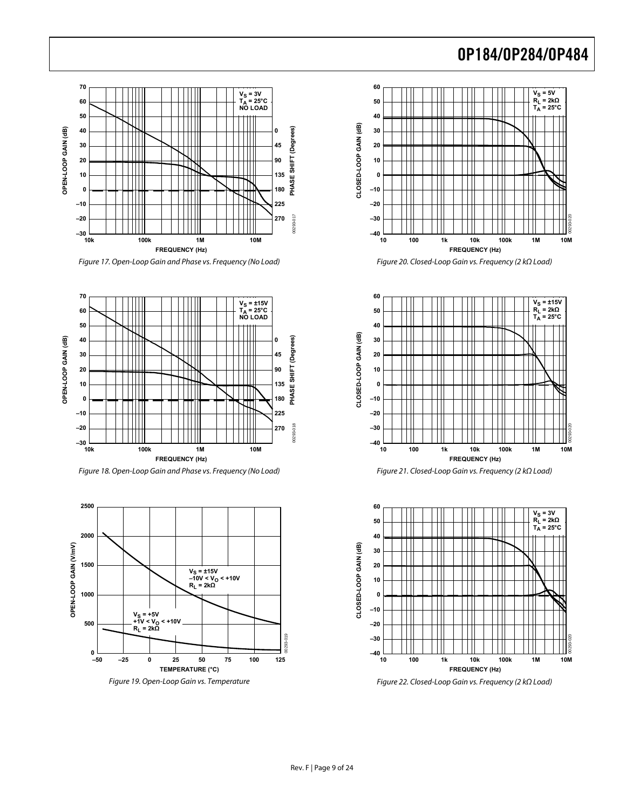

Figure 17. Open-Loop Gain and Phase vs. Frequency (No Load)



Figure 18. Open-Loop Gain and Phase vs. Frequency (No Load)



Figure 19. Open-Loop Gain vs. Temperature



Figure 20. Closed-Loop Gain vs. Frequency (2 kΩ Load)



Figure 21. Closed-Loop Gain vs. Frequency (2 kΩ Load)



Figure 22. Closed-Loop Gain vs. Frequency (2 kΩ Load)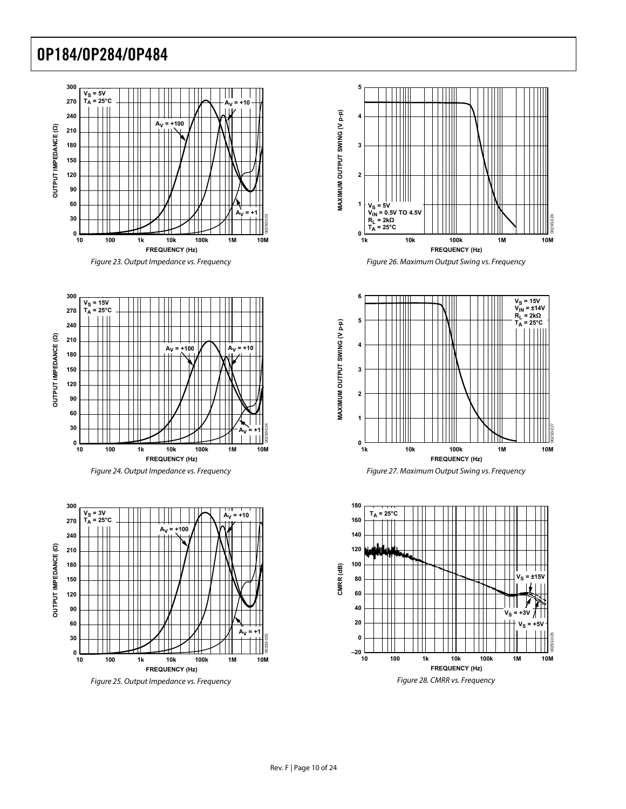







Figure 25. Output Impedance vs. Frequency









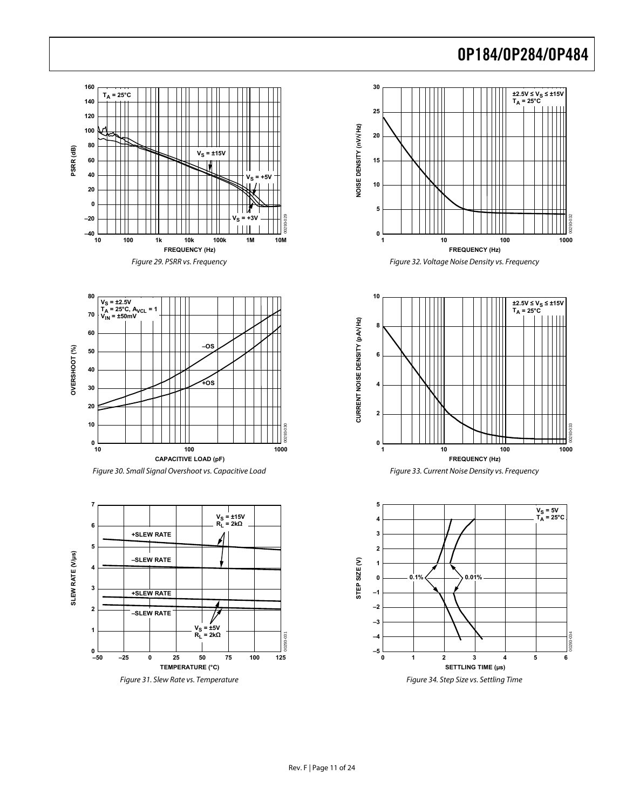





<span id="page-10-0"></span>









Figure 34. Step Size vs. Settling Time

**0 6 1 2 3 4 5**

**SETTLING TIME (µs)**

**–5**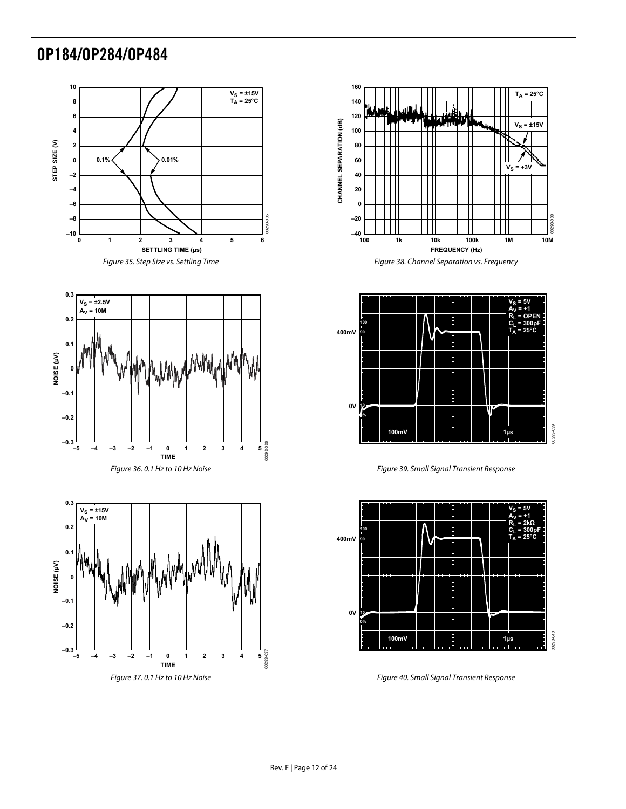





Figure 37. 0.1 Hz to 10 Hz Noise







Figure 39. Small Signal Transient Response



Figure 40. Small Signal Transient Response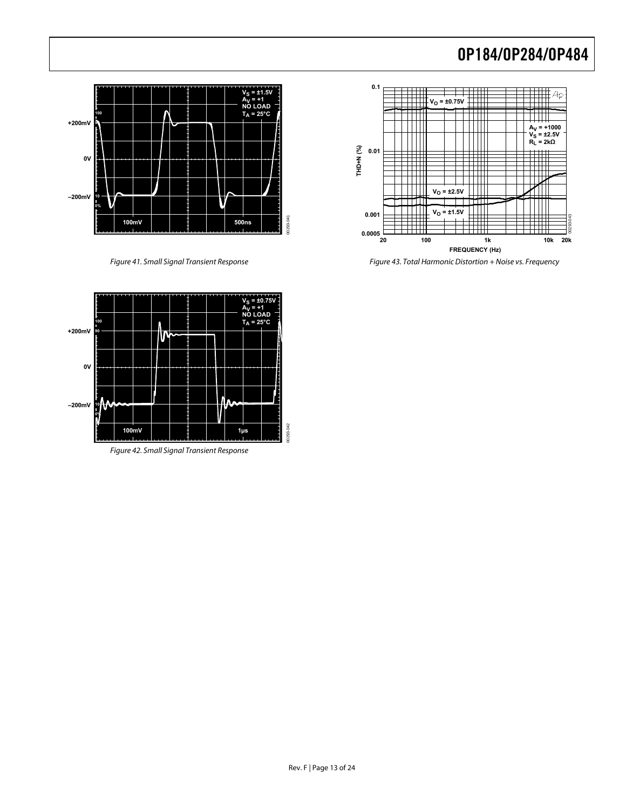

Figure 41. Small Signal Transient Response



Figure 43. Total Harmonic Distortion + Noise vs. Frequency



Figure 42. Small Signal Transient Response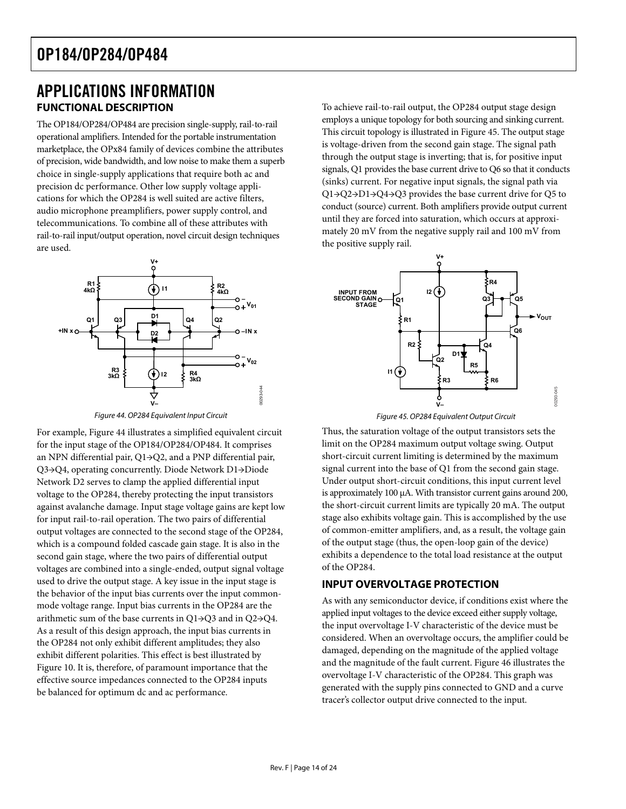### <span id="page-13-0"></span>APPLICATIONS INFORMATION **FUNCTIONAL DESCRIPTION**

The OP184/OP284/OP484 are precision single-supply, rail-to-rail operational amplifiers. Intended for the portable instrumentation marketplace, the OPx84 family of devices combine the attributes of precision, wide bandwidth, and low noise to make them a superb choice in single-supply applications that require both ac and precision dc performance. Other low supply voltage applications for which the OP284 is well suited are active filters, audio microphone preamplifiers, power supply control, and telecommunications. To combine all of these attributes with rail-to-rail input/output operation, novel circuit design techniques are used.



Figure 44. OP284 Equivalent Input Circuit

<span id="page-13-3"></span><span id="page-13-2"></span><span id="page-13-1"></span>For example, [Figure 44](#page-13-1) illustrates a simplified equivalent circuit for the input stage of the OP184/OP284/OP484. It comprises an NPN differential pair, Q1→Q2, and a PNP differential pair, Q3→Q4, operating concurrently. Diode Network D1→Diode Network D2 serves to clamp the applied differential input voltage to the OP284, thereby protecting the input transistors against avalanche damage. Input stage voltage gains are kept low for input rail-to-rail operation. The two pairs of differential output voltages are connected to the second stage of the OP284, which is a compound folded cascade gain stage. It is also in the second gain stage, where the two pairs of differential output voltages are combined into a single-ended, output signal voltage used to drive the output stage. A key issue in the input stage is the behavior of the input bias currents over the input commonmode voltage range. Input bias currents in the OP284 are the arithmetic sum of the base currents in Q1→Q3 and in Q2→Q4. As a result of this design approach, the input bias currents in the OP284 not only exhibit different amplitudes; they also exhibit different polarities. This effect is best illustrated by [Figure 10](#page-6-1). It is, therefore, of paramount importance that the effective source impedances connected to the OP284 inputs be balanced for optimum dc and ac performance.

To achieve rail-to-rail output, the OP284 output stage design employs a unique topology for both sourcing and sinking current. This circuit topology is illustrated in [Figure 45](#page-13-2). The output stage is voltage-driven from the second gain stage. The signal path through the output stage is inverting; that is, for positive input signals, Q1 provides the base current drive to Q6 so that it conducts (sinks) current. For negative input signals, the signal path via Q1→Q2→D1→Q4→Q3 provides the base current drive for Q5 to conduct (source) current. Both amplifiers provide output current until they are forced into saturation, which occurs at approximately 20 mV from the negative supply rail and 100 mV from the positive supply rail.



Figure 45. OP284 Equivalent Output Circuit

Thus, the saturation voltage of the output transistors sets the limit on the OP284 maximum output voltage swing. Output short-circuit current limiting is determined by the maximum signal current into the base of Q1 from the second gain stage. Under output short-circuit conditions, this input current level is approximately 100 μA. With transistor current gains around 200, the short-circuit current limits are typically 20 mA. The output stage also exhibits voltage gain. This is accomplished by the use of common-emitter amplifiers, and, as a result, the voltage gain of the output stage (thus, the open-loop gain of the device) exhibits a dependence to the total load resistance at the output of the OP284.

### **INPUT OVERVOLTAGE PROTECTION**

As with any semiconductor device, if conditions exist where the applied input voltages to the device exceed either supply voltage, the input overvoltage I-V characteristic of the device must be considered. When an overvoltage occurs, the amplifier could be damaged, depending on the magnitude of the applied voltage and the magnitude of the fault current. [Figure 46](#page-14-1) illustrates the overvoltage I-V characteristic of the OP284. This graph was generated with the supply pins connected to GND and a curve tracer's collector output drive connected to the input.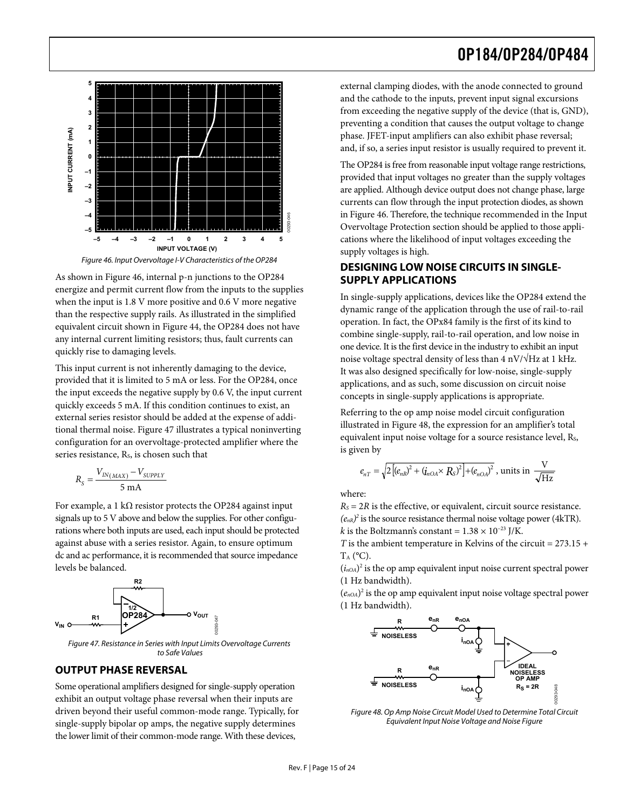<span id="page-14-0"></span>

Figure 46. Input Overvoltage I-V Characteristics of the OP284

<span id="page-14-1"></span>As shown in [Figure 46,](#page-14-1) internal p-n junctions to the OP284 energize and permit current flow from the inputs to the supplies when the input is 1.8 V more positive and 0.6 V more negative than the respective supply rails. As illustrated in the simplified equivalent circuit shown in [Figure 44](#page-13-1), the OP284 does not have any internal current limiting resistors; thus, fault currents can quickly rise to damaging levels.

This input current is not inherently damaging to the device, provided that it is limited to 5 mA or less. For the OP284, once the input exceeds the negative supply by 0.6 V, the input current quickly exceeds 5 mA. If this condition continues to exist, an external series resistor should be added at the expense of additional thermal noise. [Figure 47](#page-14-2) illustrates a typical noninverting configuration for an overvoltage-protected amplifier where the series resistance, Rs, is chosen such that

$$
R_{S} = \frac{V_{IN(MAX)} - V_{SUPPLY}}{5 \text{ mA}}
$$

For example, a 1 k $\Omega$  resistor protects the OP284 against input signals up to 5 V above and below the supplies. For other configurations where both inputs are used, each input should be protected against abuse with a series resistor. Again, to ensure optimum dc and ac performance, it is recommended that source impedance levels be balanced.



Figure 47. Resistance in Series with Input Limits Overvoltage Currents to Safe Values

#### <span id="page-14-2"></span>**OUTPUT PHASE REVERSAL**

<span id="page-14-3"></span>Some operational amplifiers designed for single-supply operation exhibit an output voltage phase reversal when their inputs are driven beyond their useful common-mode range. Typically, for single-supply bipolar op amps, the negative supply determines the lower limit of their common-mode range. With these devices,

external clamping diodes, with the anode connected to ground and the cathode to the inputs, prevent input signal excursions from exceeding the negative supply of the device (that is, GND), preventing a condition that causes the output voltage to change phase. JFET-input amplifiers can also exhibit phase reversal; and, if so, a series input resistor is usually required to prevent it.

The OP284 is free from reasonable input voltage range restrictions, provided that input voltages no greater than the supply voltages are applied. Although device output does not change phase, large currents can flow through the input protection diodes, as shown in [Figure 46.](#page-14-1) Therefore, the technique recommended in the [Input](#page-13-3)  [Overvoltage Protection](#page-13-3) section should be applied to those applications where the likelihood of input voltages exceeding the supply voltages is high.

#### **DESIGNING LOW NOISE CIRCUITS IN SINGLE-SUPPLY APPLICATIONS**

m F1<br>
Separation Supples<br>
We cation supples<br>
we dave the single of the single<br>
common one in the single of the single single of the single state<br>
ted in Tis Ta ('*i<sub>nOA</sub>* (1 H<br>
(*i<sub>nOA</sub>* (1 H<br>
(*e<sub>nOA</sub>*) (1 H<br>
(*e<sub>nOA</sub>*) ( In single-supply applications, devices like the OP284 extend the dynamic range of the application through the use of rail-to-rail operation. In fact, the OPx84 family is the first of its kind to combine single-supply, rail-to-rail operation, and low noise in one device. It is the first device in the industry to exhibit an input noise voltage spectral density of less than  $4 \frac{\text{nV}}{\text{Hz}}$  at 1 kHz. It was also designed specifically for low-noise, single-supply applications, and as such, some discussion on circuit noise concepts in single-supply applications is appropriate.

Referring to the op amp noise model circuit configuration illustrated in [Figure 48,](#page-14-3) the expression for an amplifier's total equivalent input noise voltage for a source resistance level, Rs, is given by

$$
e_{nT} = \sqrt{2\left[\left(e_{nR}\right)^2 + \left(\dot{q}_{nOA} \times R_S\right)^2\right] + \left(e_{nOA}\right)^2}
$$
, units in  $\frac{V}{\sqrt{Hz}}$ 

where:

 $R<sub>S</sub> = 2R$  is the effective, or equivalent, circuit source resistance.  $(e_{nR})^2$  is the source resistance thermal noise voltage power (4kTR). *k* is the Boltzmann's constant =  $1.38 \times 10^{-23}$  J/K.

*T* is the ambient temperature in Kelvins of the circuit =  $273.15 +$  $T_A$  ( $^{\circ}$ C).

 $(i_{n<sub>OA</sub>})<sup>2</sup>$  is the op amp equivalent input noise current spectral power (1 Hz bandwidth).

 $(e_{n\Omega A})^2$  is the op amp equivalent input noise voltage spectral power (1 Hz bandwidth).



Figure 48. Op Amp Noise Circuit Model Used to Determine Total Circuit Equivalent Input Noise Voltage and Noise Figure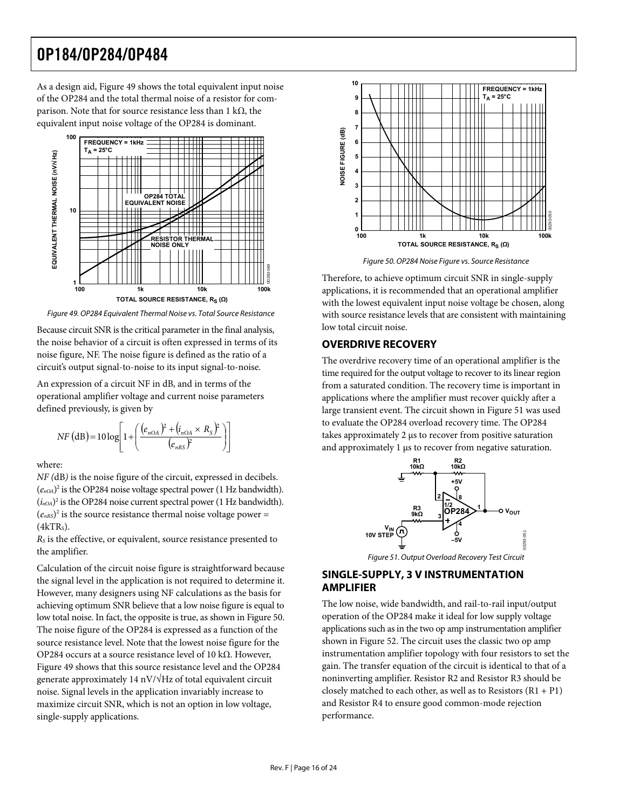<span id="page-15-0"></span>As a design aid, [Figure 49](#page-15-1) shows the total equivalent input noise of the OP284 and the total thermal noise of a resistor for comparison. Note that for source resistance less than 1 kΩ, the equivalent input noise voltage of the OP284 is dominant.



<span id="page-15-2"></span>Figure 49. OP284 Equivalent Thermal Noise vs. Total Source Resistance

<span id="page-15-1"></span>Because circuit SNR is the critical parameter in the final analysis, the noise behavior of a circuit is often expressed in terms of its noise figure, NF. The noise figure is defined as the ratio of a circuit's output signal-to-noise to its input signal-to-noise.

An expression of a circuit NF in dB, and in terms of the operational amplifier voltage and current noise parameters defined previously, is given by

$$
NF (dB) = 10 log \left[ 1 + \left( \frac{(e_{nOA})^2 + (i_{nOA} \times R_S)^2}{(e_{nRS})^2} \right) \right]
$$

where:

*NF (*dB*)* is the noise figure of the circuit, expressed in decibels.  $(e_{nOA})^2$  is the OP284 noise voltage spectral power (1 Hz bandwidth).  $(i_{n<sub>OA</sub>})^2$  is the OP284 noise current spectral power (1 Hz bandwidth).  $(e<sub>nRS</sub>)<sup>2</sup>$  is the source resistance thermal noise voltage power =  $(4kTRs)$ .

*RS* is the effective, or equivalent, source resistance presented to the amplifier.

<span id="page-15-3"></span>Calculation of the circuit noise figure is straightforward because the signal level in the application is not required to determine it. However, many designers using NF calculations as the basis for achieving optimum SNR believe that a low noise figure is equal to low total noise. In fact, the opposite is true, as shown in [Figure 50](#page-15-2). The noise figure of the OP284 is expressed as a function of the source resistance level. Note that the lowest noise figure for the OP284 occurs at a source resistance level of 10 kΩ. However, [Figure 49](#page-15-1) shows that this source resistance level and the OP284 generate approximately 14 nV/ $\sqrt{Hz}$  of total equivalent circuit noise. Signal levels in the application invariably increase to maximize circuit SNR, which is not an option in low voltage, single-supply applications.



Figure 50. OP284 Noise Figure vs. Source Resistance

Therefore, to achieve optimum circuit SNR in single-supply applications, it is recommended that an operational amplifier with the lowest equivalent input noise voltage be chosen, along with source resistance levels that are consistent with maintaining low total circuit noise.

### **OVERDRIVE RECOVERY**

The overdrive recovery time of an operational amplifier is the time required for the output voltage to recover to its linear region from a saturated condition. The recovery time is important in applications where the amplifier must recover quickly after a large transient event. The circuit shown in [Figure 51](#page-15-3) was used to evaluate the OP284 overload recovery time. The OP284 takes approximately 2 μs to recover from positive saturation and approximately 1 μs to recover from negative saturation.



Figure 51. Output Overload Recovery Test Circuit

#### **SINGLE-SUPPLY, 3 V INSTRUMENTATION AMPLIFIER**

The low noise, wide bandwidth, and rail-to-rail input/output operation of the OP284 make it ideal for low supply voltage applications such as in the two op amp instrumentation amplifier shown in [Figure 52](#page-16-1). The circuit uses the classic two op amp instrumentation amplifier topology with four resistors to set the gain. The transfer equation of the circuit is identical to that of a noninverting amplifier. Resistor R2 and Resistor R3 should be closely matched to each other, as well as to Resistors  $(R1 + P1)$ and Resistor R4 to ensure good common-mode rejection performance.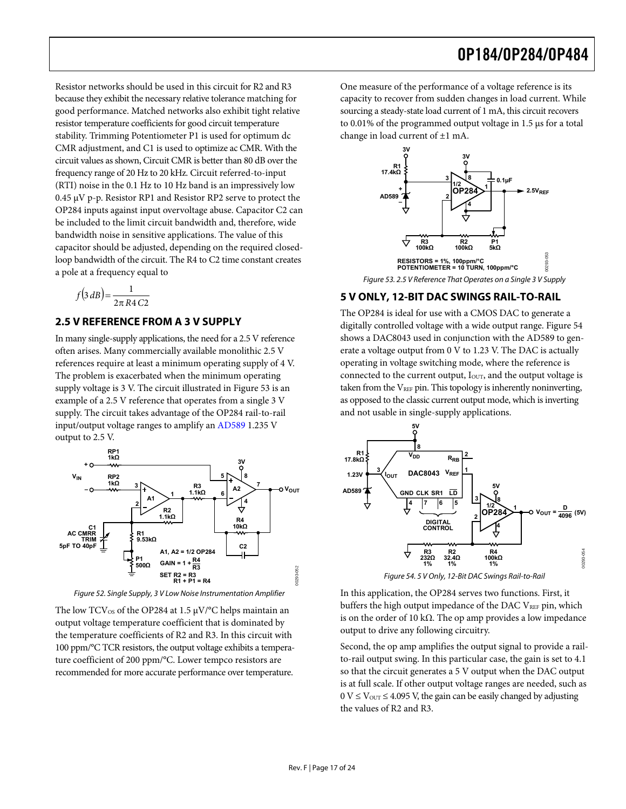<span id="page-16-0"></span>Resistor networks should be used in this circuit for R2 and R3 because they exhibit the necessary relative tolerance matching for good performance. Matched networks also exhibit tight relative resistor temperature coefficients for good circuit temperature stability. Trimming Potentiometer P1 is used for optimum dc CMR adjustment, and C1 is used to optimize ac CMR. With the circuit values as shown, Circuit CMR is better than 80 dB over the frequency range of 20 Hz to 20 kHz. Circuit referred-to-input (RTI) noise in the 0.1 Hz to 10 Hz band is an impressively low 0.45 μV p-p. Resistor RP1 and Resistor RP2 serve to protect the OP284 inputs against input overvoltage abuse. Capacitor C2 can be included to the limit circuit bandwidth and, therefore, wide bandwidth noise in sensitive applications. The value of this capacitor should be adjusted, depending on the required closedloop bandwidth of the circuit. The R4 to C2 time constant creates a pole at a frequency equal to

$$
f(3 dB) = \frac{1}{2\pi R4 C2}
$$

#### <span id="page-16-2"></span>**2.5 V REFERENCE FROM A 3 V SUPPLY**

In many single-supply applications, the need for a 2.5 V reference often arises. Many commercially available monolithic 2.5 V references require at least a minimum operating supply of 4 V. The problem is exacerbated when the minimum operating supply voltage is 3 V. The circuit illustrated in [Figure 53](#page-16-2) is an example of a 2.5 V reference that operates from a single 3 V supply. The circuit takes advantage of the OP284 rail-to-rail input/output voltage ranges to amplify an [AD589](http://www.analog.com/en/prod/0%2C2877%2CAD589%2C00.html) 1.235 V output to 2.5 V.



Figure 52. Single Supply, 3 V Low Noise Instrumentation Amplifier

<span id="page-16-3"></span><span id="page-16-1"></span>The low  $TCV_{OS}$  of the OP284 at 1.5  $\mu V$ /°C helps maintain an output voltage temperature coefficient that is dominated by the temperature coefficients of R2 and R3. In this circuit with 100 ppm/°C TCR resistors, the output voltage exhibits a temperature coefficient of 200 ppm/°C. Lower tempco resistors are recommended for more accurate performance over temperature.

One measure of the performance of a voltage reference is its capacity to recover from sudden changes in load current. While sourcing a steady-state load current of 1 mA, this circuit recovers to 0.01% of the programmed output voltage in 1.5 μs for a total change in load current of ±1 mA.



Figure 53. 2.5 V Reference That Operates on a Single 3 V Supply

#### **5 V ONLY, 12-BIT DAC SWINGS RAIL-TO-RAIL**

The OP284 is ideal for use with a CMOS DAC to generate a digitally controlled voltage with a wide output range. [Figure 54](#page-16-3) shows a DAC8043 used in conjunction with the [AD589](http://www.analog.com/AD589) to generate a voltage output from 0 V to 1.23 V. The DAC is actually operating in voltage switching mode, where the reference is connected to the current output, I<sub>OUT</sub>, and the output voltage is taken from the  $V_{REF}$  pin. This topology is inherently noninverting, as opposed to the classic current output mode, which is inverting and not usable in single-supply applications.



In this application, the OP284 serves two functions. First, it buffers the high output impedance of the DAC VREF pin, which is on the order of 10 k $\Omega$ . The op amp provides a low impedance output to drive any following circuitry.

Second, the op amp amplifies the output signal to provide a railto-rail output swing. In this particular case, the gain is set to 4.1 so that the circuit generates a 5 V output when the DAC output is at full scale. If other output voltage ranges are needed, such as  $0 \text{ V} \leq \text{V}_{\text{OUT}} \leq 4.095 \text{ V}$ , the gain can be easily changed by adjusting the values of R2 and R3.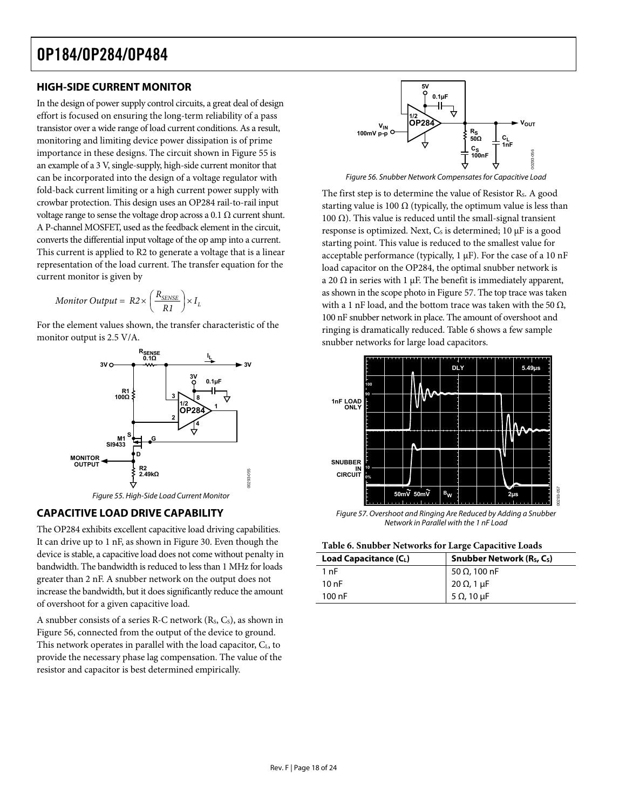### <span id="page-17-0"></span>**HIGH-SIDE CURRENT MONITOR**

<span id="page-17-2"></span>In the design of power supply control circuits, a great deal of design effort is focused on ensuring the long-term reliability of a pass transistor over a wide range of load current conditions. As a result, monitoring and limiting device power dissipation is of prime importance in these designs. The circuit shown in [Figure 55](#page-17-1) is an example of a 3 V, single-supply, high-side current monitor that can be incorporated into the design of a voltage regulator with fold-back current limiting or a high current power supply with crowbar protection. This design uses an OP284 rail-to-rail input voltage range to sense the voltage drop across a 0.1  $\Omega$  current shunt. A P-channel MOSFET, used as the feedback element in the circuit, converts the differential input voltage of the op amp into a current. This current is applied to R2 to generate a voltage that is a linear representation of the load current. The transfer equation for the current monitor is given by

$$
Monitor\ Output = R2 \times \left(\frac{R_{\text{SENSE}}}{R1}\right) \times I_L
$$

For the element values shown, the transfer characteristic of the monitor output is 2.5 V/A.



<span id="page-17-3"></span><span id="page-17-1"></span>**CAPACITIVE LOAD DRIVE CAPABILITY** 

<span id="page-17-4"></span>The OP284 exhibits excellent capacitive load driving capabilities. It can drive up to 1 nF, as shown in [Figure 30](#page-10-0). Even though the device is stable, a capacitive load does not come without penalty in bandwidth. The bandwidth is reduced to less than 1 MHz for loads greater than 2 nF. A snubber network on the output does not increase the bandwidth, but it does significantly reduce the amount of overshoot for a given capacitive load.

A snubber consists of a series R-C network  $(R<sub>s</sub>, C<sub>s</sub>)$ , as shown in [Figure 56,](#page-17-2) connected from the output of the device to ground. This network operates in parallel with the load capacitor, CL, to provide the necessary phase lag compensation. The value of the resistor and capacitor is best determined empirically.



Figure 56. Snubber Network Compensates for Capacitive Load

The first step is to determine the value of Resistor R<sub>s</sub>. A good starting value is 100  $\Omega$  (typically, the optimum value is less than 100 Ω). This value is reduced until the small-signal transient response is optimized. Next,  $C_s$  is determined; 10  $\mu$ F is a good starting point. This value is reduced to the smallest value for acceptable performance (typically, 1 μF). For the case of a 10 nF load capacitor on the OP284, the optimal snubber network is a 20  $\Omega$  in series with 1 μF. The benefit is immediately apparent, as shown in the scope photo in [Figure 57](#page-17-3). The top trace was taken with a 1 nF load, and the bottom trace was taken with the 50  $\Omega$ , 100 nF snubber network in place. The amount of overshoot and ringing is dramatically reduced. [Table 6](#page-17-4) shows a few sample snubber networks for large load capacitors.



Figure 57. Overshoot and Ringing Are Reduced by Adding a Snubber Network in Parallel with the 1 nF Load

| Load Capacitance $(C_L)$ | Snubber Network (R <sub>S</sub> , C <sub>S</sub> ) |  |
|--------------------------|----------------------------------------------------|--|
| 1 nF                     | 50 Ω, 100 nF                                       |  |
| 10 nF                    | 20 Ω, 1 μF                                         |  |
| $100$ nF                 | 5 $\Omega$ , 10 $\mu$ F                            |  |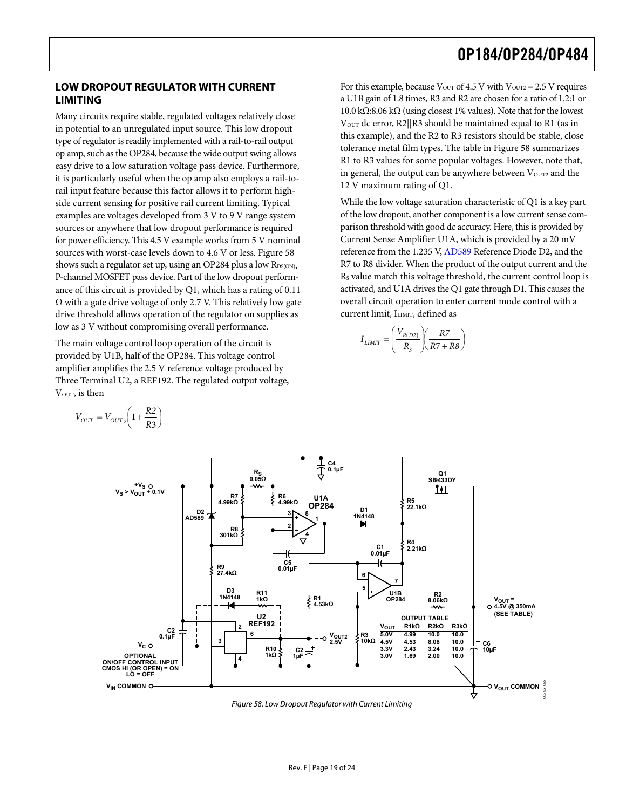#### <span id="page-18-0"></span>**LOW DROPOUT REGULATOR WITH CURRENT LIMITING**

Many circuits require stable, regulated voltages relatively close in potential to an unregulated input source. This low dropout type of regulator is readily implemented with a rail-to-rail output op amp, such as the OP284, because the wide output swing allows easy drive to a low saturation voltage pass device. Furthermore, it is particularly useful when the op amp also employs a rail-torail input feature because this factor allows it to perform highside current sensing for positive rail current limiting. Typical examples are voltages developed from 3 V to 9 V range system sources or anywhere that low dropout performance is required for power efficiency. This 4.5 V example works from 5 V nominal sources with worst-case levels down to 4.6 V or less. [Figure 58](#page-18-1) shows such a regulator set up, using an OP284 plus a low RDS(ON), P-channel MOSFET pass device. Part of the low dropout performance of this circuit is provided by Q1, which has a rating of 0.11  $\Omega$  with a gate drive voltage of only 2.7 V. This relatively low gate drive threshold allows operation of the regulator on supplies as low as 3 V without compromising overall performance.

The main voltage control loop operation of the circuit is provided by U1B, half of the OP284. This voltage control amplifier amplifies the 2.5 V reference voltage produced by Three Terminal U2, a REF192. The regulated output voltage, VOUT, is then

 $=V_{OUT2}\left(1+\frac{R2}{R3}\right)$  $V_{OUT} = V_{OUT2} \left(1 + \frac{R2}{R3}\right)$ 

For this example, because 
$$
V_{\text{OUT}}
$$
 of 4.5 V with  $V_{\text{OUT2}} = 2.5$  V requires a U1B gain of 1.8 times, R3 and R2 are chosen for a ratio of 1.2:1 or 10.0 kΩ:8.06 kΩ (using closest 1% values). Note that for the lowest  $V_{\text{OUT}}$  dc error, R2||R3 should be maintained equal to R1 (as in this example), and the R2 to R3 resistors should be stable, close tolerance metal film types. The table in Figure 58 summarizes R1 to R3 values for some popular voltages. However, note that, in general, the output can be anywhere between  $V_{\text{OUT2}}$  and the 12 V maximum rating of Q1.

While the low voltage saturation characteristic of Q1 is a key part of the low dropout, another component is a low current sense comparison threshold with good dc accuracy. Here, this is provided by Current Sense Amplifier U1A, which is provided by a 20 mV reference from the 1.235 V, [AD589](http://www.analog.com/en/prod/0%2C2877%2CAD589%2C00.html) Reference Diode D2, and the R7 to R8 divider. When the product of the output current and the RS value match this voltage threshold, the current control loop is activated, and U1A drives the Q1 gate through D1. This causes the overall circuit operation to enter current mode control with a current limit, ILIMIT, defined as

$$
I_{LIMIT} = \left(\frac{V_{R(D2)}}{R_S}\right)\left(\frac{R7}{R7 + R8}\right)
$$



<span id="page-18-1"></span>Figure 58. Low Dropout Regulator with Current Limiting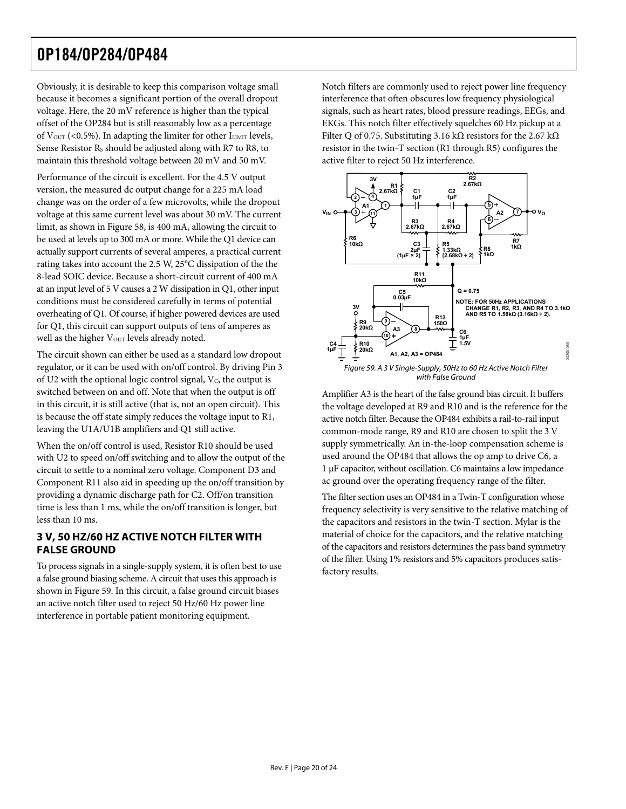<span id="page-19-0"></span>Obviously, it is desirable to keep this comparison voltage small because it becomes a significant portion of the overall dropout voltage. Here, the 20 mV reference is higher than the typical offset of the OP284 but is still reasonably low as a percentage of  $V_{\text{OUT}}$  (<0.5%). In adapting the limiter for other  $I_{\text{LIMIT}}$  levels, Sense Resistor R<sub>s</sub> should be adjusted along with R7 to R8, to maintain this threshold voltage between 20 mV and 50 mV.

Performance of the circuit is excellent. For the 4.5 V output version, the measured dc output change for a 225 mA load change was on the order of a few microvolts, while the dropout voltage at this same current level was about 30 mV. The current limit, as shown in [Figure 58,](#page-18-1) is 400 mA, allowing the circuit to be used at levels up to 300 mA or more. While the Q1 device can actually support currents of several amperes, a practical current rating takes into account the 2.5 W, 25°C dissipation of the the 8-lead SOIC device. Because a short-circuit current of 400 mA at an input level of 5 V causes a 2 W dissipation in Q1, other input conditions must be considered carefully in terms of potential overheating of Q1. Of course, if higher powered devices are used for Q1, this circuit can support outputs of tens of amperes as well as the higher V<sub>OUT</sub> levels already noted.

<span id="page-19-1"></span>The circuit shown can either be used as a standard low dropout regulator, or it can be used with on/off control. By driving Pin 3 of U2 with the optional logic control signal,  $V_c$ , the output is switched between on and off. Note that when the output is off in this circuit, it is still active (that is, not an open circuit). This is because the off state simply reduces the voltage input to R1, leaving the U1A/U1B amplifiers and Q1 still active.

When the on/off control is used, Resistor R10 should be used with U2 to speed on/off switching and to allow the output of the circuit to settle to a nominal zero voltage. Component D3 and Component R11 also aid in speeding up the on/off transition by providing a dynamic discharge path for C2. Off/on transition time is less than 1 ms, while the on/off transition is longer, but less than 10 ms.

### **3 V, 50 HZ/60 HZ ACTIVE NOTCH FILTER WITH FALSE GROUND**

To process signals in a single-supply system, it is often best to use a false ground biasing scheme. A circuit that uses this approach is shown in [Figure 59.](#page-19-1) In this circuit, a false ground circuit biases an active notch filter used to reject 50 Hz/60 Hz power line interference in portable patient monitoring equipment.

Notch filters are commonly used to reject power line frequency interference that often obscures low frequency physiological signals, such as heart rates, blood pressure readings, EEGs, and EKGs. This notch filter effectively squelches 60 Hz pickup at a Filter Q of 0.75. Substituting 3.16 kΩ resistors for the 2.67 kΩ resistor in the twin-T section (R1 through R5) configures the active filter to reject 50 Hz interference.



Amplifier A3 is the heart of the false ground bias circuit. It buffers the voltage developed at R9 and R10 and is the reference for the active notch filter. Because the OP484 exhibits a rail-to-rail input common-mode range, R9 and R10 are chosen to split the 3 V supply symmetrically. An in-the-loop compensation scheme is used around the OP484 that allows the op amp to drive C6, a 1 μF capacitor, without oscillation. C6 maintains a low impedance ac ground over the operating frequency range of the filter.

The filter section uses an OP484 in a Twin-T configuration whose frequency selectivity is very sensitive to the relative matching of the capacitors and resistors in the twin-T section. Mylar is the material of choice for the capacitors, and the relative matching of the capacitors and resistors determines the pass band symmetry of the filter. Using 1% resistors and 5% capacitors produces satisfactory results.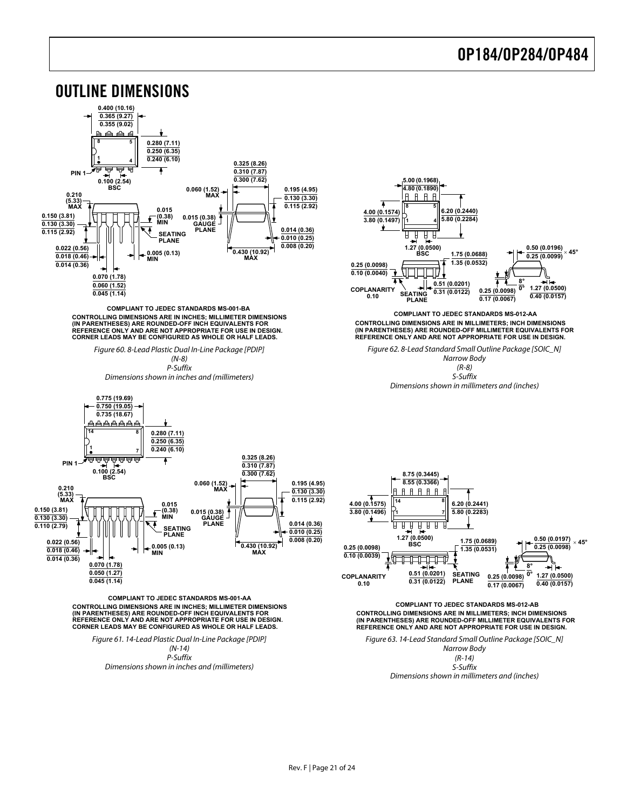<span id="page-20-0"></span>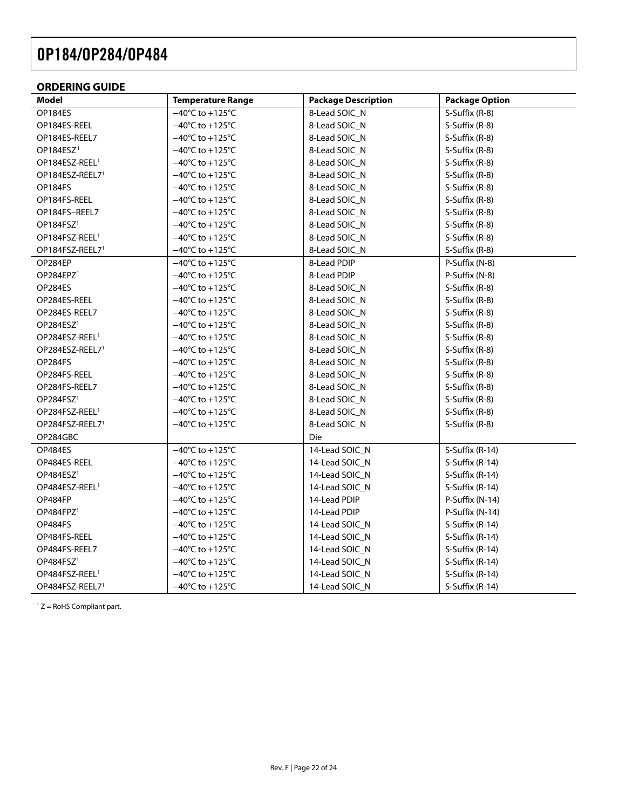### <span id="page-21-0"></span>**ORDERING GUIDE**

| Model                       | <b>Temperature Range</b>             | <b>Package Description</b> | <b>Package Option</b> |
|-----------------------------|--------------------------------------|----------------------------|-----------------------|
| OP184ES                     | $-40^{\circ}$ C to $+125^{\circ}$ C  | 8-Lead SOIC_N              | S-Suffix (R-8)        |
| OP184ES-REEL                | $-40^{\circ}$ C to +125 $^{\circ}$ C | 8-Lead SOIC_N              | S-Suffix (R-8)        |
| OP184ES-REEL7               | $-40^{\circ}$ C to $+125^{\circ}$ C  | 8-Lead SOIC_N              | S-Suffix (R-8)        |
| OP184ESZ <sup>1</sup>       | $-40^{\circ}$ C to +125 $^{\circ}$ C | 8-Lead SOIC_N              | S-Suffix (R-8)        |
| OP184ESZ-REEL <sup>1</sup>  | $-40^{\circ}$ C to +125 $^{\circ}$ C | 8-Lead SOIC_N              | S-Suffix (R-8)        |
| OP184ESZ-REEL7 <sup>1</sup> | $-40^{\circ}$ C to +125 $^{\circ}$ C | 8-Lead SOIC_N              | S-Suffix (R-8)        |
| OP184FS                     | $-40^{\circ}$ C to +125 $^{\circ}$ C | 8-Lead SOIC_N              | S-Suffix (R-8)        |
| OP184FS-REEL                | $-40^{\circ}$ C to +125 $^{\circ}$ C | 8-Lead SOIC_N              | S-Suffix (R-8)        |
| OP184FS-REEL7               | $-40^{\circ}$ C to +125 $^{\circ}$ C | 8-Lead SOIC_N              | S-Suffix (R-8)        |
| OP184FSZ <sup>1</sup>       | $-40^{\circ}$ C to +125 $^{\circ}$ C | 8-Lead SOIC_N              | S-Suffix (R-8)        |
| OP184FSZ-REEL <sup>1</sup>  | $-40^{\circ}$ C to +125 $^{\circ}$ C | 8-Lead SOIC_N              | S-Suffix (R-8)        |
| OP184FSZ-REEL7 <sup>1</sup> | $-40^{\circ}$ C to +125 $^{\circ}$ C | 8-Lead SOIC_N              | S-Suffix (R-8)        |
| OP284EP                     | $-40^{\circ}$ C to +125 $^{\circ}$ C | 8-Lead PDIP                | P-Suffix (N-8)        |
| OP284EPZ <sup>1</sup>       | $-40^{\circ}$ C to +125 $^{\circ}$ C | 8-Lead PDIP                | P-Suffix (N-8)        |
| OP284ES                     | $-40^{\circ}$ C to $+125^{\circ}$ C  | 8-Lead SOIC_N              | S-Suffix (R-8)        |
| OP284ES-REEL                | $-40^{\circ}$ C to +125 $^{\circ}$ C | 8-Lead SOIC_N              | S-Suffix (R-8)        |
| OP284ES-REEL7               | $-40^{\circ}$ C to +125 $^{\circ}$ C | 8-Lead SOIC_N              | S-Suffix (R-8)        |
| OP284ESZ <sup>1</sup>       | $-40^{\circ}$ C to $+125^{\circ}$ C  | 8-Lead SOIC_N              | S-Suffix (R-8)        |
| OP284ESZ-REEL <sup>1</sup>  | $-40^{\circ}$ C to +125 $^{\circ}$ C | 8-Lead SOIC_N              | S-Suffix (R-8)        |
| OP284ESZ-REEL7 <sup>1</sup> | $-40^{\circ}$ C to +125 $^{\circ}$ C | 8-Lead SOIC_N              | S-Suffix (R-8)        |
| OP284FS                     | $-40^{\circ}$ C to +125 $^{\circ}$ C | 8-Lead SOIC_N              | S-Suffix (R-8)        |
| OP284FS-REEL                | $-40^{\circ}$ C to +125 $^{\circ}$ C | 8-Lead SOIC_N              | S-Suffix (R-8)        |
| OP284FS-REEL7               | $-40^{\circ}$ C to +125 $^{\circ}$ C | 8-Lead SOIC_N              | S-Suffix (R-8)        |
| OP284FSZ <sup>1</sup>       | $-40^{\circ}$ C to +125 $^{\circ}$ C | 8-Lead SOIC_N              | S-Suffix (R-8)        |
| OP284FSZ-REEL <sup>1</sup>  | $-40^{\circ}$ C to +125 $^{\circ}$ C | 8-Lead SOIC_N              | S-Suffix (R-8)        |
| OP284FSZ-REEL7 <sup>1</sup> | $-40^{\circ}$ C to $+125^{\circ}$ C  | 8-Lead SOIC_N              | S-Suffix (R-8)        |
| OP284GBC                    |                                      | Die                        |                       |
| OP484ES                     | $-40^{\circ}$ C to +125 $^{\circ}$ C | 14-Lead SOIC_N             | S-Suffix (R-14)       |
| OP484ES-REEL                | $-40^{\circ}$ C to +125 $^{\circ}$ C | 14-Lead SOIC_N             | S-Suffix (R-14)       |
| OP484ESZ <sup>1</sup>       | $-40^{\circ}$ C to +125 $^{\circ}$ C | 14-Lead SOIC N             | S-Suffix (R-14)       |
| OP484ESZ-REEL <sup>1</sup>  | $-40^{\circ}$ C to +125 $^{\circ}$ C | 14-Lead SOIC_N             | S-Suffix (R-14)       |
| OP484FP                     | $-40^{\circ}$ C to $+125^{\circ}$ C  | 14-Lead PDIP               | P-Suffix (N-14)       |
| OP484FPZ <sup>1</sup>       | $-40^{\circ}$ C to +125 $^{\circ}$ C | 14-Lead PDIP               | P-Suffix (N-14)       |
| OP484FS                     | $-40^{\circ}$ C to +125 $^{\circ}$ C | 14-Lead SOIC_N             | S-Suffix (R-14)       |
| OP484FS-REEL                | $-40^{\circ}$ C to +125 $^{\circ}$ C | 14-Lead SOIC_N             | S-Suffix (R-14)       |
| OP484FS-REEL7               | $-40^{\circ}$ C to +125 $^{\circ}$ C | 14-Lead SOIC_N             | S-Suffix (R-14)       |
| OP484FSZ <sup>1</sup>       | $-40^{\circ}$ C to +125 $^{\circ}$ C | 14-Lead SOIC_N             | S-Suffix (R-14)       |
| OP484FSZ-REEL <sup>1</sup>  | $-40^{\circ}$ C to +125 $^{\circ}$ C | 14-Lead SOIC_N             | S-Suffix (R-14)       |
| OP484FSZ-REEL7 <sup>1</sup> | $-40^{\circ}$ C to $+125^{\circ}$ C  | 14-Lead SOIC_N             | S-Suffix (R-14)       |

 $1 Z =$  RoHS Compliant part.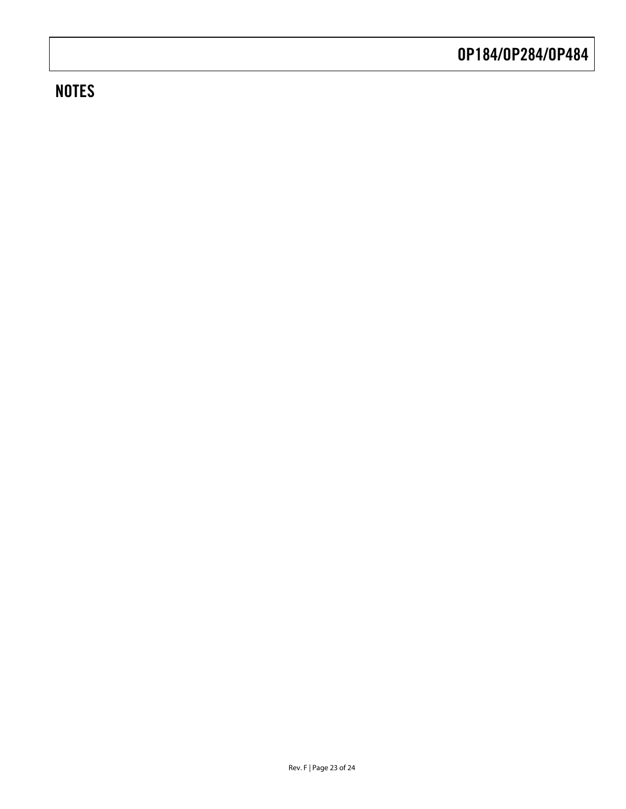### **NOTES**